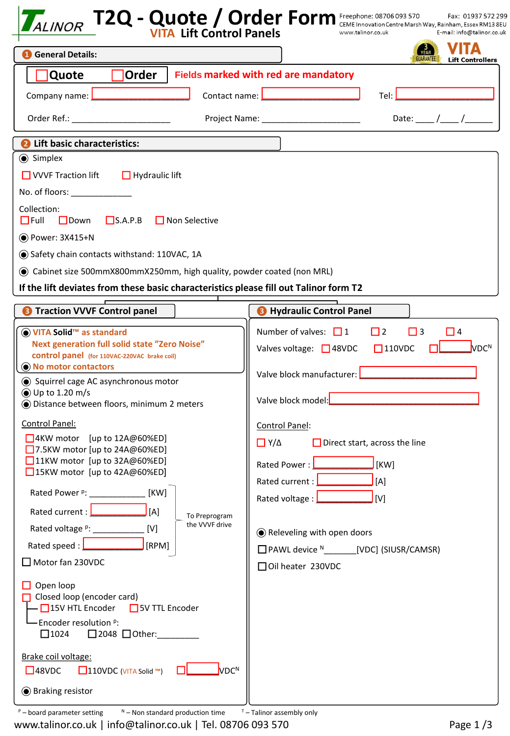|                                                                                                                                                                                                                                                                                                                                                                                                                                                                                                                                                                                                                                                                                                                                                                                                                                                                                                                                                                                                        | ALINOR <b>T2Q - Quote / Order Form</b> Freephone: 08706 093 570 Fax: 01937 572 299<br>VITA Lift Control Panels www.talinor.co.uk E-mail: info@talinor.co.uk                                                                                                                                                                                                                                                                                                                                                        |  |  |  |
|--------------------------------------------------------------------------------------------------------------------------------------------------------------------------------------------------------------------------------------------------------------------------------------------------------------------------------------------------------------------------------------------------------------------------------------------------------------------------------------------------------------------------------------------------------------------------------------------------------------------------------------------------------------------------------------------------------------------------------------------------------------------------------------------------------------------------------------------------------------------------------------------------------------------------------------------------------------------------------------------------------|--------------------------------------------------------------------------------------------------------------------------------------------------------------------------------------------------------------------------------------------------------------------------------------------------------------------------------------------------------------------------------------------------------------------------------------------------------------------------------------------------------------------|--|--|--|
| <b>General Details:</b>                                                                                                                                                                                                                                                                                                                                                                                                                                                                                                                                                                                                                                                                                                                                                                                                                                                                                                                                                                                | <b>GUARANTEE</b><br><b>Lift Controllers</b>                                                                                                                                                                                                                                                                                                                                                                                                                                                                        |  |  |  |
| Quote<br><b>Order</b>                                                                                                                                                                                                                                                                                                                                                                                                                                                                                                                                                                                                                                                                                                                                                                                                                                                                                                                                                                                  | Fields marked with red are mandatory                                                                                                                                                                                                                                                                                                                                                                                                                                                                               |  |  |  |
| Company name: L                                                                                                                                                                                                                                                                                                                                                                                                                                                                                                                                                                                                                                                                                                                                                                                                                                                                                                                                                                                        | Contact name: <b>Last Line 2016</b><br>Tel:                                                                                                                                                                                                                                                                                                                                                                                                                                                                        |  |  |  |
| Order Ref.: Network and Services and Services and Services and Services and Services and Services and Services                                                                                                                                                                                                                                                                                                                                                                                                                                                                                                                                                                                                                                                                                                                                                                                                                                                                                         | Date: $\frac{1}{\sqrt{2\pi}}$                                                                                                                                                                                                                                                                                                                                                                                                                                                                                      |  |  |  |
| <b>2</b> Lift basic characteristics:                                                                                                                                                                                                                                                                                                                                                                                                                                                                                                                                                                                                                                                                                                                                                                                                                                                                                                                                                                   |                                                                                                                                                                                                                                                                                                                                                                                                                                                                                                                    |  |  |  |
| <b>◉</b> Simplex                                                                                                                                                                                                                                                                                                                                                                                                                                                                                                                                                                                                                                                                                                                                                                                                                                                                                                                                                                                       |                                                                                                                                                                                                                                                                                                                                                                                                                                                                                                                    |  |  |  |
| $\Box$ VVVF Traction lift<br>$\Box$ Hydraulic lift                                                                                                                                                                                                                                                                                                                                                                                                                                                                                                                                                                                                                                                                                                                                                                                                                                                                                                                                                     |                                                                                                                                                                                                                                                                                                                                                                                                                                                                                                                    |  |  |  |
| No. of floors: ______________                                                                                                                                                                                                                                                                                                                                                                                                                                                                                                                                                                                                                                                                                                                                                                                                                                                                                                                                                                          |                                                                                                                                                                                                                                                                                                                                                                                                                                                                                                                    |  |  |  |
| Collection:<br>$\Box$ Down<br>□S.A.P.B □ Non Selective<br>$\Box$ Full                                                                                                                                                                                                                                                                                                                                                                                                                                                                                                                                                                                                                                                                                                                                                                                                                                                                                                                                  |                                                                                                                                                                                                                                                                                                                                                                                                                                                                                                                    |  |  |  |
| ◉ Power: 3X415+N                                                                                                                                                                                                                                                                                                                                                                                                                                                                                                                                                                                                                                                                                                                                                                                                                                                                                                                                                                                       |                                                                                                                                                                                                                                                                                                                                                                                                                                                                                                                    |  |  |  |
| Safety chain contacts withstand: 110VAC, 1A                                                                                                                                                                                                                                                                                                                                                                                                                                                                                                                                                                                                                                                                                                                                                                                                                                                                                                                                                            |                                                                                                                                                                                                                                                                                                                                                                                                                                                                                                                    |  |  |  |
| ◉ Cabinet size 500mmX800mmX250mm, high quality, powder coated (non MRL)                                                                                                                                                                                                                                                                                                                                                                                                                                                                                                                                                                                                                                                                                                                                                                                                                                                                                                                                |                                                                                                                                                                                                                                                                                                                                                                                                                                                                                                                    |  |  |  |
| If the lift deviates from these basic characteristics please fill out Talinor form T2                                                                                                                                                                                                                                                                                                                                                                                                                                                                                                                                                                                                                                                                                                                                                                                                                                                                                                                  |                                                                                                                                                                                                                                                                                                                                                                                                                                                                                                                    |  |  |  |
| <b>Traction VVVF Control panel</b>                                                                                                                                                                                                                                                                                                                                                                                                                                                                                                                                                                                                                                                                                                                                                                                                                                                                                                                                                                     | <b>8</b> Hydraulic Control Panel                                                                                                                                                                                                                                                                                                                                                                                                                                                                                   |  |  |  |
| <b>O</b> VITA Solid <sup>™</sup> as standard<br>Next generation full solid state "Zero Noise"<br><b>control panel</b> (for 110VAC-220VAC brake coil)<br>O No motor contactors<br>◉ Squirrel cage AC asynchronous motor<br>$\odot$ Up to 1.20 m/s<br>◉ Distance between floors, minimum 2 meters<br><b>Control Panel:</b><br>□ 4KW motor [up to 12A@60%ED]<br>□7.5KW motor [up to 24A@60%ED]<br>□11KW motor [up to 32A@60%ED]<br>□15KW motor [up to 42A@60%ED]<br>Rated Power P: ____________ [KW]<br>Rated current : $\boxed{\phantom{\begin{bmatrix} 1 \end{bmatrix}}$ [A]<br>To Preprogram<br>the VVVF drive<br>Rated voltage P: ______________ [V]<br>Rated speed : [14] [RPM]<br>$\Box$ Motor fan 230VDC<br>$\Box$ Open loop<br>Closed loop (encoder card)<br>- 15V HTL Encoder 15V TTL Encoder<br>-Encoder resolution P:<br>$\square$ 1024<br>$\square$ 2048 $\square$ Other:<br>Brake coil voltage:<br>VDC <sup>N</sup><br>$\square$ 48VDC<br>$\Box$ 110VDC (VITA Solid ™)<br>◉ Braking resistor | Number of valves: $\Box$ 1<br>$\Box$ 2<br>$\Box$ 3<br>$\Box$ 4<br><b>NDCN</b><br>Valves voltage: 48VDC 110VDC<br>Valve block manufacturer: <b>Leave Development</b><br>Valve block model:<br>Control Panel:<br>$\Box Y/\Delta$<br>$\Box$ Direct start, across the line<br>$\mathsf{I}$ [KW]<br>Rated Power: <b>L</b><br>[A]<br>Rated current : <b>Lesson</b><br>[V]<br>Rated voltage : <b>L</b><br>◉ Releveling with open doors<br>□ PAWL device <sup>N</sup> __________[VDC] (SIUSR/CAMSR)<br>□ Oil heater 230VDC |  |  |  |

www.talinor.co.uk | info@talinor.co.uk | Tel. 08706 093 570  $P -$ board parameter setting  $N -$  Non standard production time  $T -$  Talinor assembly only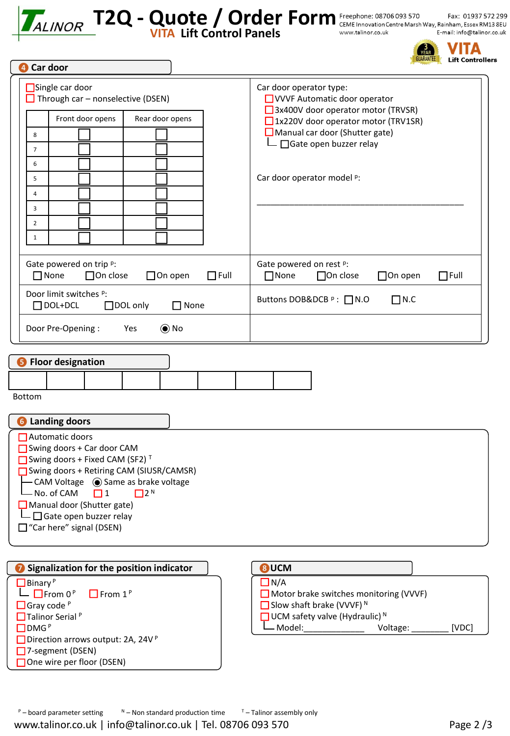| <i>ALINOR</i> |
|---------------|
|---------------|

 $\square$  DMG $P$ 

□ 7-segment (DSEN) □ One wire per floor (DSEN)

□ Direction arrows output: 2A, 24V<sup>P</sup>

## **T2Q - Quote / Order Form VITA Lift Control Panels**

Fax: 01937 572 299



| 4 Car door                                                                                                                                                                                                                                                                                              | YEAR<br><b>GUARANTEE</b>                                                                                                                                                                                                           | <b>Lift Controller</b> |
|---------------------------------------------------------------------------------------------------------------------------------------------------------------------------------------------------------------------------------------------------------------------------------------------------------|------------------------------------------------------------------------------------------------------------------------------------------------------------------------------------------------------------------------------------|------------------------|
| Single car door<br>$\Box$ Through car – nonselective (DSEN)<br>Front door opens<br>Rear door opens<br>8<br>$\overline{7}$<br>6<br>5<br>$\overline{4}$<br>3<br>$\overline{2}$<br>$\mathbf{1}$                                                                                                            | Car door operator type:<br>□ VVVF Automatic door operator<br>3x400V door operator motor (TRVSR)<br>1x220V door operator motor (TRV1SR)<br>Manual car door (Shutter gate)<br>□ Gate open buzzer relay<br>Car door operator model P: |                        |
| Gate powered on trip P:<br>$\Box$ None<br>$\Box$ On close<br>$\Box$ On open<br>Door limit switches P:<br>$\Box$ DOL+DCL<br>$\Box$ DOL only                                                                                                                                                              | Gate powered on rest P:<br>$\Box$ Full<br>$\Box$ None<br>$\Box$ On open<br>$\Box$ On close<br>$\Box$ N.C<br>Buttons DOB&DCB P : □N.O<br>$\Box$ None                                                                                | $\Box$ Full            |
| Door Pre-Opening:<br>$\odot$ No<br>Yes<br><b>8</b> Floor designation                                                                                                                                                                                                                                    |                                                                                                                                                                                                                                    |                        |
|                                                                                                                                                                                                                                                                                                         |                                                                                                                                                                                                                                    |                        |
| Bottom<br><b>6</b> Landing doors<br>Automatic doors<br>$\Box$ Swing doors + Car door CAM<br>Swing doors + Fixed CAM (SF2) $T$<br>Swing doors + Retiring CAM (SIUSR/CAMSR)<br>No. of CAM<br>12 <sup>N</sup><br>□ 1<br>Manual door (Shutter gate)<br>Gate open buzzer relay<br>□ "Car here" signal (DSEN) |                                                                                                                                                                                                                                    |                        |
| Signalization for the position indicator                                                                                                                                                                                                                                                                | <b>8</b> UCM                                                                                                                                                                                                                       |                        |
| $\Box$ Binary $P$<br>$ \Box$ From 0 <sup>P</sup><br>$\Box$ From 1 <sup>P</sup><br>$\Box$ Gray code $P$<br>Talinor Serial <sup>P</sup>                                                                                                                                                                   | $\Box$ N/A<br>$\Box$ Motor brake switches monitoring (VVVF)<br>Slow shaft brake (VVVF) <sup>N</sup><br>UCM safety valve (Hydraulic) <sup>N</sup>                                                                                   |                        |